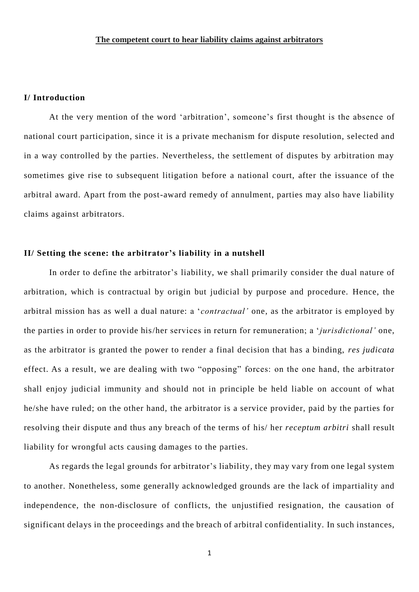### **I/ Introduction**

At the very mention of the word 'arbitration', someone's first thought is the absence of national court participation, since it is a private mechanism for dispute resolution, selected and in a way controlled by the parties. Nevertheless, the settlement of disputes by arbitration may sometimes give rise to subsequent litigation before a national court, after the issuance of the arbitral award. Apart from the post-award remedy of annulment, parties may also have liability claims against arbitrators.

#### **II/ Setting the scene: the arbitrator's liability in a nutshell**

In order to define the arbitrator's liability, we shall primarily consider the dual nature of arbitration, which is contractual by origin but judicial by purpose and procedure. Hence, the arbitral mission has as well a dual nature: a '*contractual'* one, as the arbitrator is employed by the parties in order to provide his/her services in return for remuneration; a '*jurisdictional'* one, as the arbitrator is granted the power to render a final decision that has a binding, *res judicata* effect. As a result, we are dealing with two "opposing" forces: on the one hand, the arbitrator shall enjoy judicial immunity and should not in principle be held liable on account of what he/she have ruled; on the other hand, the arbitrator is a service provider, paid by the parties for resolving their dispute and thus any breach of the terms of his/ her *receptum arbitri* shall result liability for wrongful acts causing damages to the parties.

As regards the legal grounds for arbitrator's liability, they may vary from one legal system to another. Nonetheless, some generally acknowledged grounds are the lack of impartiality and independence, the non-disclosure of conflicts, the unjustified resignation, the causation of significant delays in the proceedings and the breach of arbitral confidentiality. In such instances,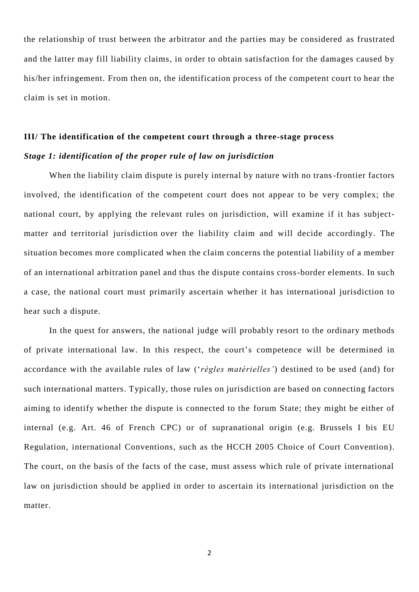the relationship of trust between the arbitrator and the parties may be considered as frustrated and the latter may fill liability claims, in order to obtain satisfaction for the damages caused by his/her infringement. From then on, the identification process of the competent court to hear the claim is set in motion.

# **IΙΙ/ The identification of the competent court through a three-stage process** *Stage 1: identification of the proper rule of law on jurisdiction*

When the liability claim dispute is purely internal by nature with no trans-frontier factors involved, the identification of the competent court does not appear to be very complex; the national court, by applying the relevant rules on jurisdiction, will examine if it has [subject](https://verejnazaloba.cz/en/more-about-public-prosecution/competence-and-jurisdiction/subject-matter-and-territorial-jurisdiction/)matter and territorial jurisdiction [over the liability claim and will decide accordingly. T](https://verejnazaloba.cz/en/more-about-public-prosecution/competence-and-jurisdiction/subject-matter-and-territorial-jurisdiction/)he situation becomes more complicated when the claim concerns the potential liability of a member of an international arbitration panel and thus the dispute contains cross-border elements. In such a case, the national court must primarily ascertain whether it has international jurisdiction to hear such a dispute.

In the quest for answers, the national judge will probably resort to the ordinary methods of private international law. In this respect, the court's competence will be determined in accordance with the available rules of law ('*règles matérielles'*) destined to be used (and) for such international matters. Typically, those rules on jurisdiction are based on connecting factors aiming to identify whether the dispute is connected to the forum State; they might be either of internal (e.g. Art. 46 of French CPC) or of supranational origin (e.g. Brussels I bis EU Regulation, international Conventions, such as the HCCH 2005 Choice of Court Convention). The court, on the basis of the facts of the case, must assess which rule of private international law on jurisdiction should be applied in order to ascertain its international jurisdiction on the matter.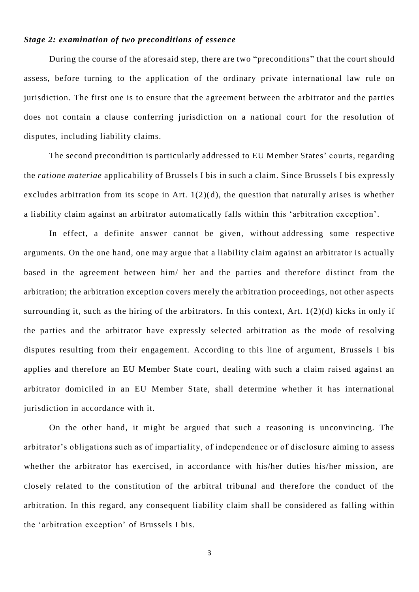#### *Stage 2: examination of two preconditions of essence*

During the course of the aforesaid step, there are two "preconditions" that the court should assess, before turning to the application of the ordinary private international law rule on jurisdiction. The first one is to ensure that the agreement between the arbitrator and the parties does not contain a clause conferring jurisdiction on a national court for the resolution of disputes, including liability claims.

The second precondition is particularly addressed to EU Member States' courts, regarding the *ratione materiae* applicability of Brussels I bis in such a claim. Since Brussels I bis expressly excludes arbitration from its scope in Art.  $1(2)(d)$ , the question that naturally arises is whether a liability claim against an arbitrator automatically falls within this 'arbitration exception'.

In effect, a definite answer cannot be given, without addressing some respective arguments. On the one hand, one may argue that a liability claim against an arbitrator is actually based in the agreement between him/ her and the parties and therefore distinct from the arbitration; the arbitration exception covers merely the arbitration proceedings, not other aspects surrounding it, such as the hiring of the arbitrators. In this context, Art. 1(2)(d) kicks in only if the parties and the arbitrator have expressly selected arbitration as the mode of resolving disputes resulting from their engagement. According to this line of argument, Brussels I bis applies and therefore an EU Member State court, dealing with such a claim raised against an arbitrator domiciled in an EU Member State, shall determine whether it has international jurisdiction in accordance with it.

On the other hand, it might be argued that such a reasoning is unconvincing. The arbitrator's obligations such as of impartiality, of independence or of disclosure aiming to assess whether the arbitrator has exercised, in accordance with his/her duties his/her mission, are closely related to the constitution of the arbitral tribunal and therefore the conduct of the arbitration. In this regard, any consequent liability claim shall be considered as falling within the 'arbitration exception' of Brussels I bis.

3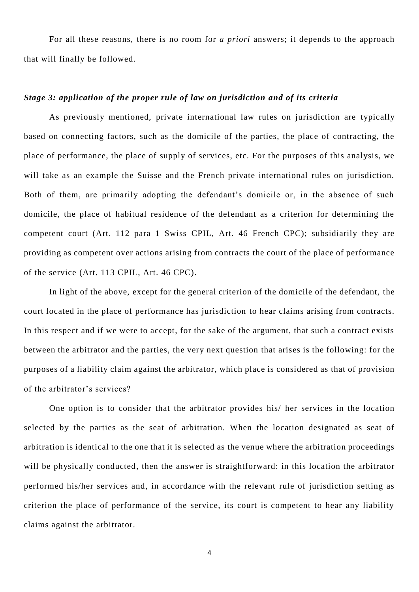For all these reasons, there is no room for *a priori* answers; it depends to the approach that will finally be followed.

## *Stage 3: application of the proper rule of law on jurisdiction and of its criteria*

As previously mentioned, private international law rules on jurisdiction are typically based on connecting factors, such as the domicile of the parties, the place of contracting, the place of performance, the place of supply of services, etc. For the purposes of this analysis, we will take as an example the Suisse and the French private international rules on jurisdiction. Both of them, are primarily adopting the defendant's domicile or, in the absence of such domicile, the place of habitual residence of the defendant as a criterion for determining the competent court (Art. 112 para 1 Swiss CPIL, Art. 46 French CPC); subsidiarily they are providing as competent over actions arising from contracts the court of the place of performance of the service (Art. 113 CPIL, Art. 46 CPC).

In light of the above, except for the general criterion of the domicile of the defendant, the court located in the place of performance has jurisdiction to hear claims arising from contracts. In this respect and if we were to accept, for the sake of the argument, that such a contract exists between the arbitrator and the parties, the very next question that arises is the following: for the purposes of a liability claim against the arbitrator, which place is considered as that of provision of the arbitrator's services?

One option is to consider that the arbitrator provides his/ her services in the location selected by the parties as the seat of arbitration. When the location designated as seat of arbitration is identical to the one that it is selected as the venue where the arbitration proceedings will be physically conducted, then the answer is straightforward: in this location the arbitrator performed his/her services and, in accordance with the relevant rule of jurisdiction setting as criterion the place of performance of the service, its court is competent to hear any liability claims against the arbitrator.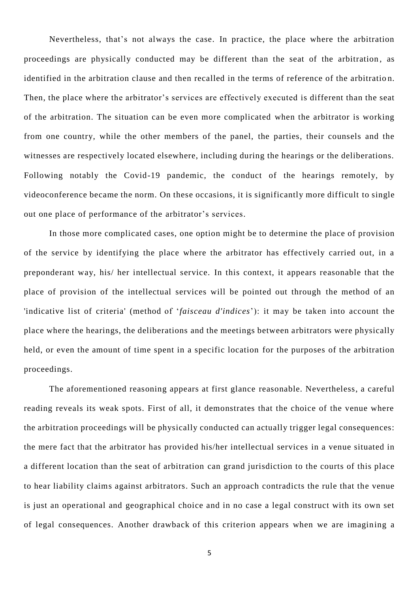Nevertheless, that's not always the case. In practice, the place where the arbitration proceedings are physically conducted may be different than the seat of the arbitration , as identified in the arbitration clause and then recalled in the terms of reference of the arbitratio n. Then, the place where the arbitrator's services are effectively executed is different than the seat of the arbitration. The situation can be even more complicated when the arbitrator is working from one country, while the other members of the panel, the parties, their counsels and the witnesses are respectively located elsewhere, including during the hearings or the deliberations. Following notably the Covid-19 pandemic, the conduct of the hearings remotely, by videoconference became the norm. On these occasions, it is significantly more difficult to single out one place of performance of the arbitrator's services.

In those more complicated cases, one option might be to determine the place of provision of the service by identifying the place where the arbitrator has effectively carried out, in a preponderant way, his/ her intellectual service. In this context, it appears reasonable that the place of provision of the intellectual services will be pointed out through the method of an 'indicative list of criteria' (method of '*faisceau d'indices*'): it may be taken into account the place where the hearings, the deliberations and the meetings between arbitrators were physically held, or even the amount of time spent in a specific location for the purposes of the arbitration proceedings.

The aforementioned reasoning appears at first glance reasonable. Nevertheless, a careful reading reveals its weak spots. First of all, it demonstrates that the choice of the venue where the arbitration proceedings will be physically conducted can actually trigger legal consequences: the mere fact that the arbitrator has provided his/her intellectual services in a venue situated in a different location than the seat of arbitration can grand jurisdiction to the courts of this place to hear liability claims against arbitrators. Such an approach contradicts the rule that the venue is just an operational and geographical choice and in no case a legal construct with its own set of legal consequences. Another drawback of this criterion appears when we are imagining a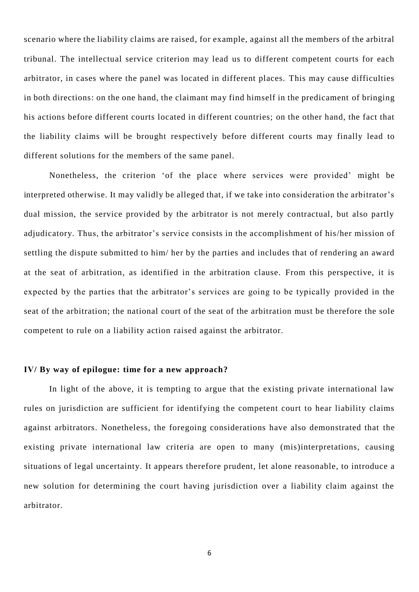scenario where the liability claims are raised, for example, against all the members of the arbitral tribunal. The intellectual service criterion may lead us to different competent courts for each arbitrator, in cases where the panel was located in different places. This may cause difficulties in both directions: on the one hand, the claimant may find himself in the predicament of bringing his actions before different courts located in different countries; on the other hand, the fact that the liability claims will be brought respectively before different courts may finally lead to different solutions for the members of the same panel.

Nonetheless, the criterion 'of the place where services were provided' might be interpreted otherwise. It may validly be alleged that, if we take into consideration the arbitrator's dual mission, the service provided by the arbitrator is not merely contractual, but also partly adjudicatory. Thus, the arbitrator's service consists in the accomplishment of his/her mission of settling the dispute submitted to him/ her by the parties and includes that of rendering an award at the seat of arbitration, as identified in the arbitration clause. From this perspective, it is expected by the parties that the arbitrator's services are going to be typically provided in the seat of the arbitration; the national court of the seat of the arbitration must be therefore the sole competent to rule on a liability action raised against the arbitrator.

#### **ΙV/ By way of epilogue: time for a new approach?**

In light of the above, it is tempting to argue that the existing private international law rules on jurisdiction are sufficient for identifying the competent court to hear liability claims against arbitrators. Nonetheless, the foregoing considerations have also demonstrated that the existing private international law criteria are open to many (mis)interpretations, causing situations of legal uncertainty. It appears therefore prudent, let alone reasonable, to introduce a new solution for determining the court having jurisdiction over a liability claim against the arbitrator.